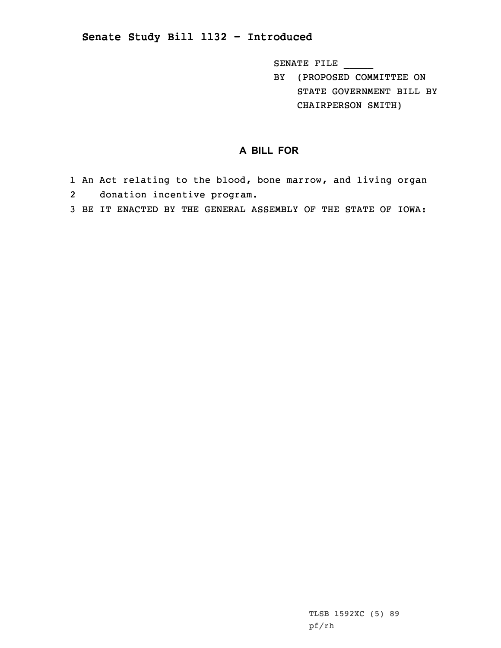## **Senate Study Bill 1132 - Introduced**

SENATE FILE \_\_\_\_\_

BY (PROPOSED COMMITTEE ON STATE GOVERNMENT BILL BY CHAIRPERSON SMITH)

## **A BILL FOR**

- 1 An Act relating to the blood, bone marrow, and living organ 2donation incentive program.
- 3 BE IT ENACTED BY THE GENERAL ASSEMBLY OF THE STATE OF IOWA: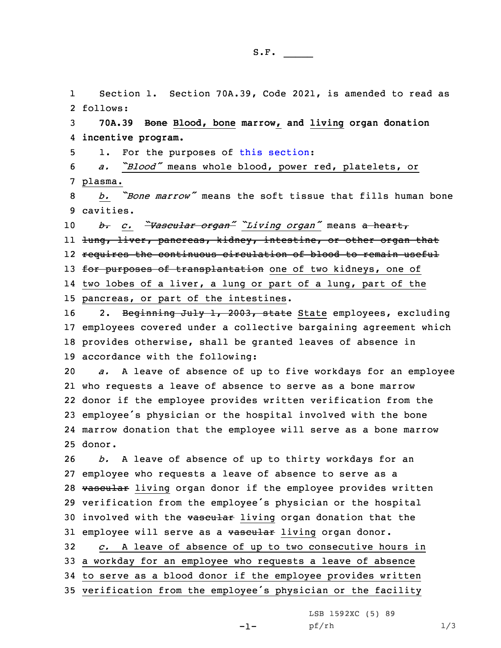1 Section 1. Section 70A.39, Code 2021, is amended to read as 2 follows:

3 **70A.39 Bone Blood, bone marrow, and living organ donation** 4 **incentive program.**

5 1. For the purposes of this [section](https://www.legis.iowa.gov/docs/code/2021/70A.39.pdf):

<sup>6</sup> *a. "Blood"* means whole blood, power red, platelets, or 7 plasma.

8 *b. "Bone marrow"* means the soft tissue that fills human bone 9 cavities.

 *b. c. "Vascular organ" "Living organ"* means <sup>a</sup> heart, ll <del>lung, liver, pancreas, kidney, intestine, or other organ that</del> requires the continuous circulation of blood to remain useful 13 for purposes of transplantation one of two kidneys, one of two lobes of <sup>a</sup> liver, <sup>a</sup> lung or part of <sup>a</sup> lung, part of the pancreas, or part of the intestines.

16 2. Beginning July 1, 2003, state State employees, excluding employees covered under <sup>a</sup> collective bargaining agreement which provides otherwise, shall be granted leaves of absence in accordance with the following:

 *a.* <sup>A</sup> leave of absence of up to five workdays for an employee who requests <sup>a</sup> leave of absence to serve as <sup>a</sup> bone marrow donor if the employee provides written verification from the employee's physician or the hospital involved with the bone marrow donation that the employee will serve as <sup>a</sup> bone marrow 25 donor.

26 *b.* <sup>A</sup> leave of absence of up to thirty workdays for an 27 employee who requests <sup>a</sup> leave of absence to serve as <sup>a</sup> 28 vascular living organ donor if the employee provides written <sup>29</sup> verification from the employee's physician or the hospital 30 involved with the vascular living organ donation that the 31 employee will serve as a vascular living organ donor.

 *c.* <sup>A</sup> leave of absence of up to two consecutive hours in <sup>a</sup> workday for an employee who requests <sup>a</sup> leave of absence to serve as <sup>a</sup> blood donor if the employee provides written verification from the employee's physician or the facility

LSB 1592XC (5) 89

pf/rh 1/3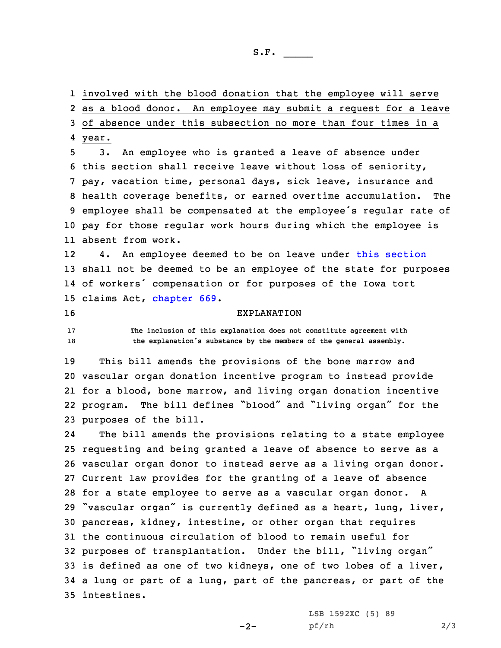1 involved with the blood donation that the employee will serve 2 as <sup>a</sup> blood donor. An employee may submit <sup>a</sup> request for <sup>a</sup> leave 3 of absence under this subsection no more than four times in <sup>a</sup>

4 year.

 3. An employee who is granted <sup>a</sup> leave of absence under this section shall receive leave without loss of seniority, pay, vacation time, personal days, sick leave, insurance and health coverage benefits, or earned overtime accumulation. The employee shall be compensated at the employee's regular rate of pay for those regular work hours during which the employee is absent from work.

12 4. An employee deemed to be on leave under this [section](https://www.legis.iowa.gov/docs/code/2021/70A.39.pdf) 13 shall not be deemed to be an employee of the state for purposes 14 of workers' compensation or for purposes of the Iowa tort 15 claims Act, [chapter](https://www.legis.iowa.gov/docs/code/2021/669.pdf) 669.

## 16 EXPLANATION

17 **The inclusion of this explanation does not constitute agreement with** <sup>18</sup> **the explanation's substance by the members of the general assembly.**

 This bill amends the provisions of the bone marrow and vascular organ donation incentive program to instead provide for <sup>a</sup> blood, bone marrow, and living organ donation incentive program. The bill defines "blood" and "living organ" for the purposes of the bill.

24 The bill amends the provisions relating to <sup>a</sup> state employee requesting and being granted <sup>a</sup> leave of absence to serve as <sup>a</sup> vascular organ donor to instead serve as <sup>a</sup> living organ donor. Current law provides for the granting of <sup>a</sup> leave of absence for <sup>a</sup> state employee to serve as <sup>a</sup> vascular organ donor. <sup>A</sup> "vascular organ" is currently defined as <sup>a</sup> heart, lung, liver, pancreas, kidney, intestine, or other organ that requires the continuous circulation of blood to remain useful for purposes of transplantation. Under the bill, "living organ" is defined as one of two kidneys, one of two lobes of <sup>a</sup> liver, <sup>a</sup> lung or part of <sup>a</sup> lung, part of the pancreas, or part of the intestines.

 $-2-$ 

LSB 1592XC (5) 89 pf/rh 2/3